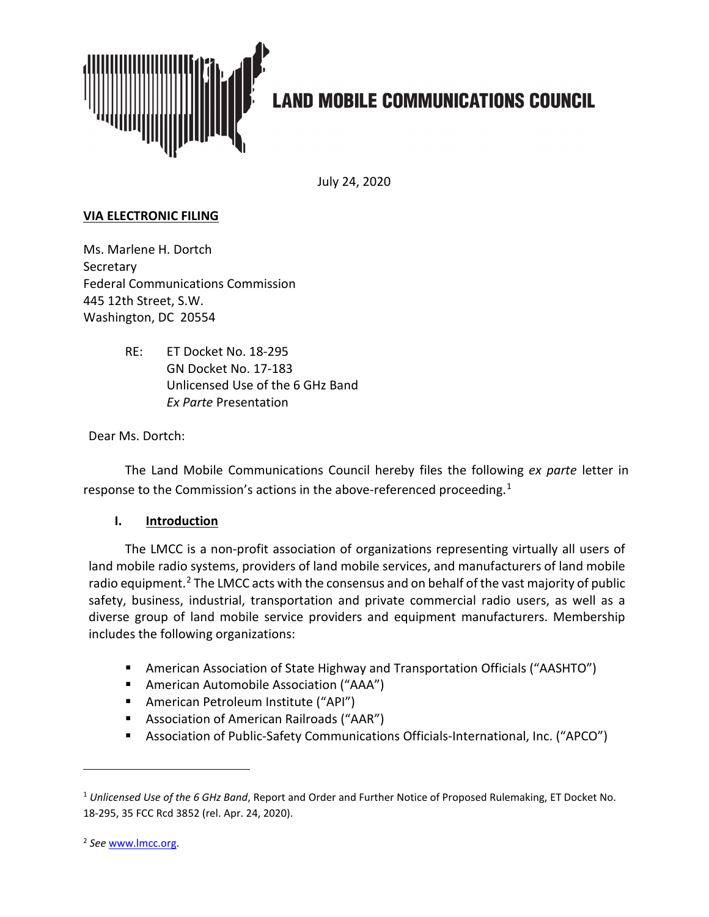

# **LAND MOBILE COMMUNICATIONS COUNCIL**

July 24, 2020

### **VIA ELECTRONIC FILING**

Ms. Marlene H. Dortch **Secretary** Federal Communications Commission 445 12th Street, S.W. Washington, DC 20554

> RE: ET Docket No. 18-295 GN Docket No. 17-183 Unlicensed Use of the 6 GHz Band *Ex Parte* Presentation

Dear Ms. Dortch:

The Land Mobile Communications Council hereby files the following *ex parte* letter in response to the Commission's actions in the above-referenced proceeding.<sup>[1](#page-0-0)</sup>

#### **I. Introduction**

The LMCC is a non-profit association of organizations representing virtually all users of land mobile radio systems, providers of land mobile services, and manufacturers of land mobile radio equipment.<sup>[2](#page-0-1)</sup> The LMCC acts with the consensus and on behalf of the vast majority of public safety, business, industrial, transportation and private commercial radio users, as well as a diverse group of land mobile service providers and equipment manufacturers. Membership includes the following organizations:

- American Association of State Highway and Transportation Officials ("AASHTO")
- American Automobile Association ("AAA")
- **American Petroleum Institute ("API")**
- Association of American Railroads ("AAR")
- Association of Public-Safety Communications Officials-International, Inc. ("APCO")

<span id="page-0-0"></span><sup>1</sup> *Unlicensed Use of the 6 GHz Band*, Report and Order and Further Notice of Proposed Rulemaking, ET Docket No. 18-295, 35 FCC Rcd 3852 (rel. Apr. 24, 2020).

<span id="page-0-1"></span><sup>2</sup> *See* [www.lmcc.org.](http://www.lmcc.org/)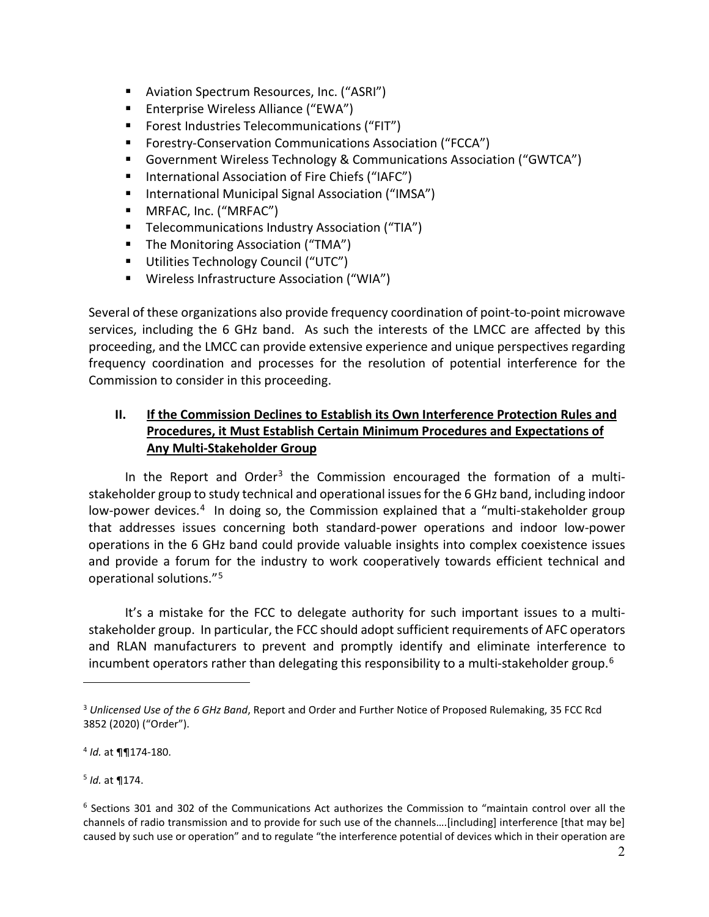- **Aviation Spectrum Resources, Inc. ("ASRI")**
- Enterprise Wireless Alliance ("EWA")
- **F** Forest Industries Telecommunications ("FIT")
- Forestry-Conservation Communications Association ("FCCA")
- Government Wireless Technology & Communications Association ("GWTCA")
- International Association of Fire Chiefs ("IAFC")
- **International Municipal Signal Association ("IMSA")**
- MRFAC, Inc. ("MRFAC")
- **Telecommunications Industry Association ("TIA")**
- **The Monitoring Association ("TMA")**
- **Utilities Technology Council ("UTC")**
- Wireless Infrastructure Association ("WIA")

Several of these organizations also provide frequency coordination of point-to-point microwave services, including the 6 GHz band. As such the interests of the LMCC are affected by this proceeding, and the LMCC can provide extensive experience and unique perspectives regarding frequency coordination and processes for the resolution of potential interference for the Commission to consider in this proceeding.

# **II. If the Commission Declines to Establish its Own Interference Protection Rules and Procedures, it Must Establish Certain Minimum Procedures and Expectations of Any Multi-Stakeholder Group**

In the Report and Order<sup>[3](#page-1-0)</sup> the Commission encouraged the formation of a multistakeholder group to study technical and operational issues for the 6 GHz band, including indoor low-power devices.<sup>[4](#page-1-1)</sup> In doing so, the Commission explained that a "multi-stakeholder group that addresses issues concerning both standard-power operations and indoor low-power operations in the 6 GHz band could provide valuable insights into complex coexistence issues and provide a forum for the industry to work cooperatively towards efficient technical and operational solutions."[5](#page-1-2) 

It's a mistake for the FCC to delegate authority for such important issues to a multistakeholder group. In particular, the FCC should adopt sufficient requirements of AFC operators and RLAN manufacturers to prevent and promptly identify and eliminate interference to incumbent operators rather than delegating this responsibility to a multi-stakeholder group.<sup>[6](#page-1-3)</sup>

<span id="page-1-2"></span><sup>5</sup> *Id.* at ¶174.

<span id="page-1-0"></span><sup>3</sup> *Unlicensed Use of the 6 GHz Band*, Report and Order and Further Notice of Proposed Rulemaking, 35 FCC Rcd 3852 (2020) ("Order").

<span id="page-1-1"></span><sup>4</sup> *Id.* at ¶¶174-180.

<span id="page-1-3"></span><sup>6</sup> Sections 301 and 302 of the Communications Act authorizes the Commission to "maintain control over all the channels of radio transmission and to provide for such use of the channels….[including] interference [that may be] caused by such use or operation" and to regulate "the interference potential of devices which in their operation are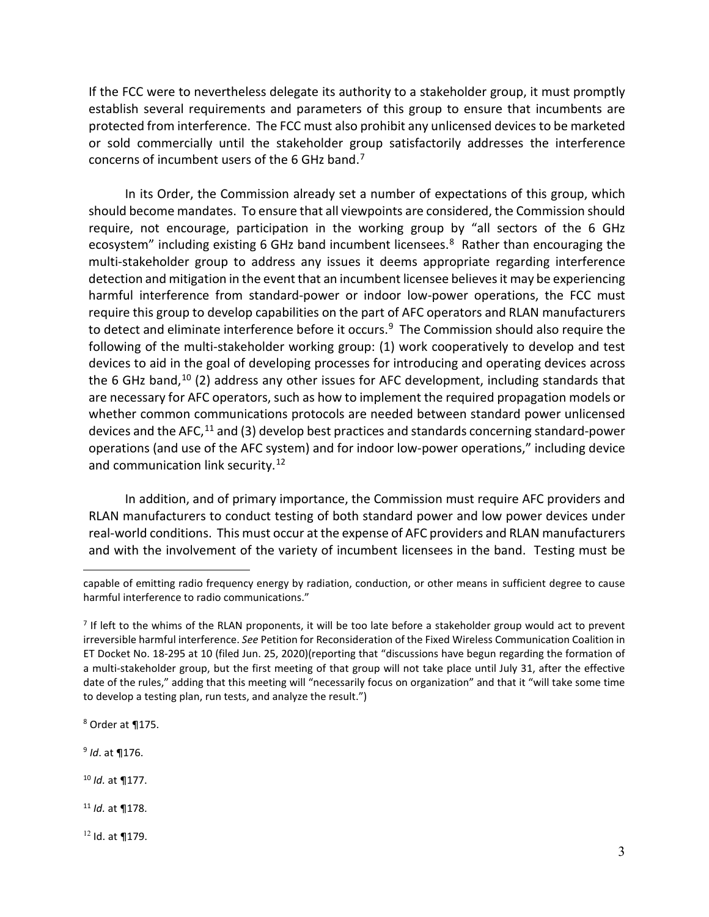If the FCC were to nevertheless delegate its authority to a stakeholder group, it must promptly establish several requirements and parameters of this group to ensure that incumbents are protected from interference. The FCC must also prohibit any unlicensed devices to be marketed or sold commercially until the stakeholder group satisfactorily addresses the interference concerns of incumbent users of the 6 GHz band.[7](#page-2-0)

In its Order, the Commission already set a number of expectations of this group, which should become mandates. To ensure that all viewpoints are considered, the Commission should require, not encourage, participation in the working group by "all sectors of the 6 GHz ecosystem" including existing 6 GHz band incumbent licensees.<sup>[8](#page-2-1)</sup> Rather than encouraging the multi-stakeholder group to address any issues it deems appropriate regarding interference detection and mitigation in the event that an incumbent licensee believes it may be experiencing harmful interference from standard-power or indoor low-power operations, the FCC must require this group to develop capabilities on the part of AFC operators and RLAN manufacturers to detect and eliminate interference before it occurs.<sup>9</sup> The Commission should also require the following of the multi-stakeholder working group: (1) work cooperatively to develop and test devices to aid in the goal of developing processes for introducing and operating devices across the 6 GHz band, $10$  (2) address any other issues for AFC development, including standards that are necessary for AFC operators, such as how to implement the required propagation models or whether common communications protocols are needed between standard power unlicensed devices and the AFC, $^{11}$  $^{11}$  $^{11}$  and (3) develop best practices and standards concerning standard-power operations (and use of the AFC system) and for indoor low-power operations," including device and communication link security.<sup>[12](#page-2-5)</sup>

In addition, and of primary importance, the Commission must require AFC providers and RLAN manufacturers to conduct testing of both standard power and low power devices under real-world conditions. This must occur at the expense of AFC providers and RLAN manufacturers and with the involvement of the variety of incumbent licensees in the band. Testing must be

<span id="page-2-1"></span><sup>8</sup> Order at ¶175.

<span id="page-2-2"></span><sup>9</sup> *Id*. at ¶176.

<span id="page-2-3"></span><sup>10</sup> *Id.* at ¶177.

<span id="page-2-4"></span><sup>11</sup> *Id.* at ¶178.

<span id="page-2-5"></span><sup>12</sup> Id. at ¶179.

capable of emitting radio frequency energy by radiation, conduction, or other means in sufficient degree to cause harmful interference to radio communications."

<span id="page-2-0"></span> $<sup>7</sup>$  If left to the whims of the RLAN proponents, it will be too late before a stakeholder group would act to prevent</sup> irreversible harmful interference. *See* Petition for Reconsideration of the Fixed Wireless Communication Coalition in ET Docket No. 18-295 at 10 (filed Jun. 25, 2020)(reporting that "discussions have begun regarding the formation of a multi-stakeholder group, but the first meeting of that group will not take place until July 31, after the effective date of the rules," adding that this meeting will "necessarily focus on organization" and that it "will take some time to develop a testing plan, run tests, and analyze the result.")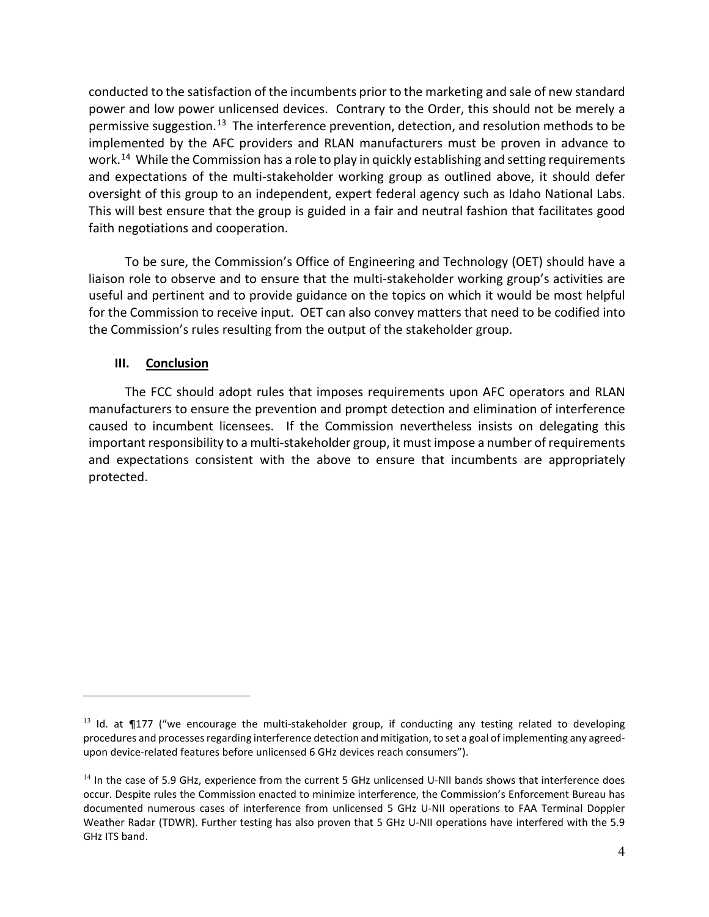conducted to the satisfaction of the incumbents prior to the marketing and sale of new standard power and low power unlicensed devices. Contrary to the Order, this should not be merely a permissive suggestion.<sup>13</sup> The interference prevention, detection, and resolution methods to be implemented by the AFC providers and RLAN manufacturers must be proven in advance to work.<sup>14</sup> While the Commission has a role to play in quickly establishing and setting requirements and expectations of the multi-stakeholder working group as outlined above, it should defer oversight of this group to an independent, expert federal agency such as Idaho National Labs. This will best ensure that the group is guided in a fair and neutral fashion that facilitates good faith negotiations and cooperation.

To be sure, the Commission's Office of Engineering and Technology (OET) should have a liaison role to observe and to ensure that the multi-stakeholder working group's activities are useful and pertinent and to provide guidance on the topics on which it would be most helpful for the Commission to receive input. OET can also convey matters that need to be codified into the Commission's rules resulting from the output of the stakeholder group.

### **III. Conclusion**

The FCC should adopt rules that imposes requirements upon AFC operators and RLAN manufacturers to ensure the prevention and prompt detection and elimination of interference caused to incumbent licensees. If the Commission nevertheless insists on delegating this important responsibility to a multi-stakeholder group, it must impose a number of requirements and expectations consistent with the above to ensure that incumbents are appropriately protected.

<span id="page-3-0"></span> $13$  Id. at ¶177 ("we encourage the multi-stakeholder group, if conducting any testing related to developing procedures and processes regarding interference detection and mitigation, to set a goal of implementing any agreedupon device-related features before unlicensed 6 GHz devices reach consumers").

<span id="page-3-1"></span><sup>&</sup>lt;sup>14</sup> In the case of 5.9 GHz, experience from the current 5 GHz unlicensed U-NII bands shows that interference does occur. Despite rules the Commission enacted to minimize interference, the Commission's Enforcement Bureau has documented numerous cases of interference from unlicensed 5 GHz U-NII operations to FAA Terminal Doppler Weather Radar (TDWR). Further testing has also proven that 5 GHz U-NII operations have interfered with the 5.9 GHz ITS band.